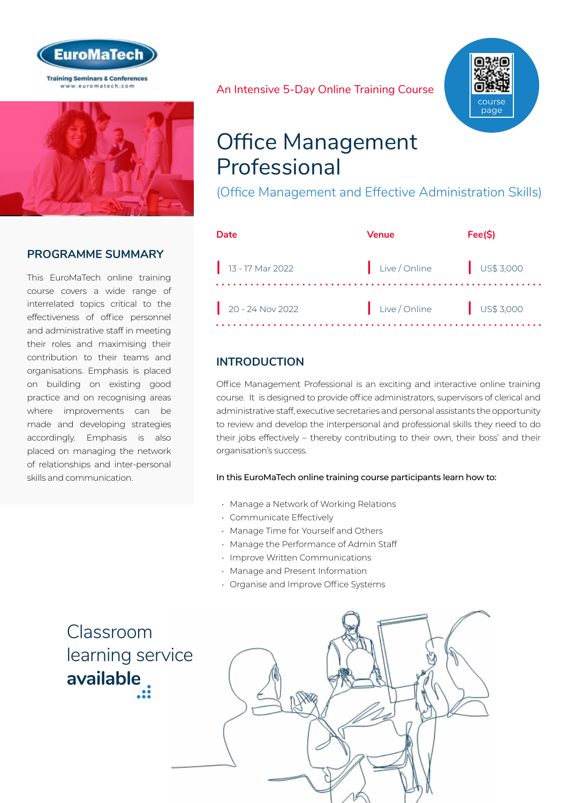



#### **PROGRAMME SUMMARY**

This EuroMaTech online training course covers a wide range of interrelated topics critical to the effectiveness of office personnel and administrative staff in meeting their roles and maximising their contribution to their teams and organisations. Emphasis is placed on building on existing good practice and on recognising areas where improvements can be made and developing strategies accordingly. Emphasis is also placed on managing the network of relationships and inter-personal skills and communication.

An Intensive 5-Day Online Training Course



# Office Management Professional

(Office Management and Effective Administration Skills)

| Date               | Venue         | Fee(S)                   |
|--------------------|---------------|--------------------------|
| $13 - 17$ Mar 2022 | Live / Online | US\$3,000                |
| $20 - 24$ Nov 2022 | Live / Online | $\frac{1}{2}$ US\$ 3,000 |

### **INTRODUCTION**

Office Management Professional is an exciting and interactive online training course. It is designed to provide office administrators, supervisors of clerical and administrative staff, executive secretaries and personal assistants the opportunity to review and develop the interpersonal and professional skills they need to do their jobs effectively – thereby contributing to their own, their boss' and their organisation's success.

#### In this EuroMaTech online training course participants learn how to:

- Manage a Network of Working Relations
- Communicate Effectively
- Manage Time for Yourself and Others
- Manage the Performance of Admin Staff
- Improve Written Communications
- Manage and Present Information
- Organise and Improve Office Systems



Classroom [learning service](https://www.euromatech.com/seminars/office-management-professional-office-management-and-effective-administration-skills/)  **available**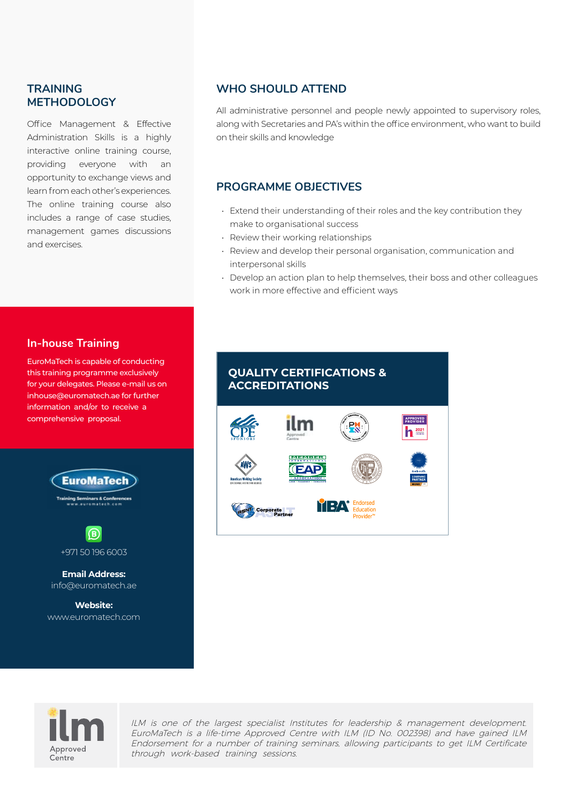#### **TRAINING METHODOLOGY**

Office Management & Effective Administration Skills is a highly interactive online training course, providing everyone with an opportunity to exchange views and learn from each other's experiences. The online training course also includes a range of case studies, management games discussions and exercises.

#### **WHO SHOULD ATTEND**

All administrative personnel and people newly appointed to supervisory roles, along with Secretaries and PA's within the office environment, who want to build on their skills and knowledge

#### **PROGRAMME OBJECTIVES**

- Extend their understanding of their roles and the key contribution they make to organisational success
- Review their working relationships
- Review and develop their personal organisation, communication and interpersonal skills
- Develop an action plan to help themselves, their boss and other colleagues work in more effective and efficient ways

#### **In-house Training**

EuroMaTech is capable of conducting this training programme exclusively for your delegates. Please e-mail us on inhouse@euromatech.ae for further information and/or to receive a comprehensive proposal.



www.euromatech.com

# **QUALITY CERTIFICATIONS & ACCREDITATIONS**





ILM is one of the largest specialist Institutes for leadership & management development. EuroMaTech is a life-time Approved Centre with ILM (ID No. 002398) and have gained ILM Endorsement for a number of training seminars, allowing participants to get ILM Certificate through work-based training sessions.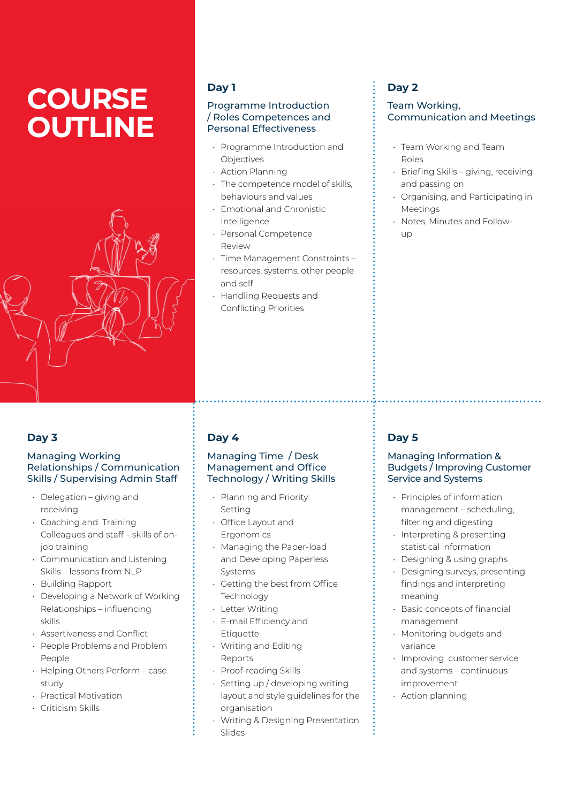# **COURSE OUTLINE**



#### **Day 1**

#### Programme Introduction / Roles Competences and Personal Effectiveness

- Programme Introduction and Objectives
- Action Planning
- The competence model of skills, behaviours and values
- Emotional and Chronistic Intelligence
- Personal Competence Review
- Time Management Constraints resources, systems, other people and self
- Handling Requests and Conflicting Priorities

## **Day 2**

#### Team Working, Communication and Meetings

- Team Working and Team Roles
- Briefing Skills giving, receiving and passing on
- Organising, and Participating in **Meetings**
- Notes, Minutes and Followup

## **Day 3**

#### Managing Working Relationships / Communication Skills / Supervising Admin Staff

- Delegation giving and receiving
- Coaching and Training Colleagues and staff – skills of onjob training
- Communication and Listening Skills – lessons from NLP
- Building Rapport
- Developing a Network of Working Relationships – influencing skills
- Assertiveness and Conflict
- People Problems and Problem People
- Helping Others Perform case study
- Practical Motivation
- Criticism Skills

# **Day 4**

#### Managing Time / Desk Management and Office Technology / Writing Skills

- Planning and Priority Setting
- Office Layout and **Ergonomics**
- Managing the Paper-load and Developing Paperless Systems
- Getting the best from Office Technology
- Letter Writing
- E-mail Efficiency and Etiquette
- Writing and Editing Reports
- Proof-reading Skills
- Setting up / developing writing layout and style guidelines for the organisation
- Writing & Designing Presentation Slides

# **Day 5**

#### Managing Information & Budgets / Improving Customer Service and Systems

- Principles of information management – scheduling, filtering and digesting
- Interpreting & presenting statistical information
- Designing & using graphs
- Designing surveys, presenting findings and interpreting meaning
- Basic concepts of financial management
- Monitoring budgets and variance
- Improving customer service and systems – continuous improvement
- Action planning